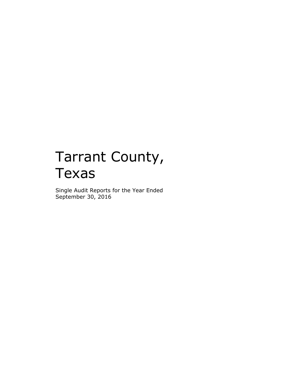# Tarrant County, Texas

Single Audit Reports for the Year Ended September 30, 2016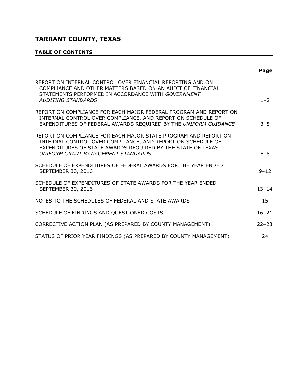# **TABLE OF CONTENTS**

|                                                                                                                                                                                                                                     | Page      |
|-------------------------------------------------------------------------------------------------------------------------------------------------------------------------------------------------------------------------------------|-----------|
| REPORT ON INTERNAL CONTROL OVER FINANCIAL REPORTING AND ON<br>COMPLIANCE AND OTHER MATTERS BASED ON AN AUDIT OF FINANCIAL<br>STATEMENTS PERFORMED IN ACCORDANCE WITH GOVERNMENT<br><b>AUDITING STANDARDS</b>                        | $1 - 2$   |
| REPORT ON COMPLIANCE FOR EACH MAJOR FEDERAL PROGRAM AND REPORT ON<br>INTERNAL CONTROL OVER COMPLIANCE, AND REPORT ON SCHEDULE OF<br>EXPENDITURES OF FEDERAL AWARDS REQUIRED BY THE UNIFORM GUIDANCE                                 | $3 - 5$   |
| REPORT ON COMPLIANCE FOR EACH MAJOR STATE PROGRAM AND REPORT ON<br>INTERNAL CONTROL OVER COMPLIANCE, AND REPORT ON SCHEDULE OF<br>EXPENDITURES OF STATE AWARDS REQUIRED BY THE STATE OF TEXAS<br>UNIFORM GRANT MANAGEMENT STANDARDS | $6 - 8$   |
| SCHEDULE OF EXPENDITURES OF FEDERAL AWARDS FOR THE YEAR ENDED<br><b>SEPTEMBER 30, 2016</b>                                                                                                                                          | $9 - 12$  |
| SCHEDULE OF EXPENDITURES OF STATE AWARDS FOR THE YEAR ENDED<br><b>SEPTEMBER 30, 2016</b>                                                                                                                                            | $13 - 14$ |
| NOTES TO THE SCHEDULES OF FEDERAL AND STATE AWARDS                                                                                                                                                                                  | 15        |
| SCHEDULE OF FINDINGS AND QUESTIONED COSTS                                                                                                                                                                                           | $16 - 21$ |
| CORRECTIVE ACTION PLAN (AS PREPARED BY COUNTY MANAGEMENT)                                                                                                                                                                           | $22 - 23$ |
| STATUS OF PRIOR YEAR FINDINGS (AS PREPARED BY COUNTY MANAGEMENT)                                                                                                                                                                    | 24        |

<u> 1980 - Johann Barn, mars ann an t-Amhain Aonaich an t-Aonaich an t-Aonaich ann an t-Aonaich ann an t-Aonaich</u>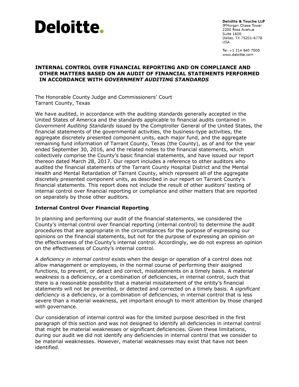

Deloitte & Touche LLP JPMorgan Chase Tower 2200 Ross Avenue Suite 1600 Dallas, TX 75201-6778 **USA** 

Tel: +1 214 840 7000 www.deloitte.com

#### **INTERNAL CONTROL OVER FINANCIAL REPORTING AND ON COMPLIANCE AND OTHER MATTERS BASED ON AN AUDIT OF FINANCIAL STATEMENTS PERFORMED IN ACCORDANCE WITH** *GOVERNMENT AUDITING STANDARDS*

The Honorable County Judge and Commissioners' Court Tarrant County, Texas

We have audited, in accordance with the auditing standards generally accepted in the United States of America and the standards applicable to financial audits contained in *Government Auditing Standards* issued by the Comptroller General of the United States, the financial statements of the governmental activities, the business-type activities, the aggregate discretely presented component units, each major fund, and the aggregate remaining fund information of Tarrant County, Texas (the County), as of and for the year ended September 30, 2016, and the related notes to the financial statements, which collectively comprise the County's basic financial statements, and have issued our report thereon dated March 28, 2017. Our report includes a reference to other auditors who audited the financial statements of the Tarrant County Hospital District and the Mental Health and Mental Retardation of Tarrant County, which represent all of the aggregate discretely presented component units, as described in our report on Tarrant County's financial statements. This report does not include the result of other auditors' testing of internal control over financial reporting or compliance and other matters that are reported on separately by those other auditors.

#### **Internal Control Over Financial Reporting**

In planning and performing our audit of the financial statements, we considered the County's internal control over financial reporting (internal control) to determine the audit procedures that are appropriate in the circumstances for the purpose of expressing our opinions on the financial statements, but not for the purpose of expressing an opinion on the effectiveness of the County's internal control. Accordingly, we do not express an opinion on the effectiveness of County's internal control.

A *deficiency in internal control* exists when the design or operation of a control does not allow management or employees, in the normal course of performing their assigned functions, to prevent, or detect and correct, misstatements on a timely basis. A *material weakness* is a deficiency, or a combination of deficiencies, in internal control, such that there is a reasonable possibility that a material misstatement of the entity's financial statements will not be prevented, or detected and corrected on a timely basis. A *significant deficiency* is a deficiency, or a combination of deficiencies, in internal control that is less severe than a material weakness, yet important enough to merit attention by those charged with governance.

Our consideration of internal control was for the limited purpose described in the first paragraph of this section and was not designed to identify all deficiencies in internal control that might be material weaknesses or significant deficiencies. Given these limitations, during our audit we did not identify any deficiencies in internal control that we consider to be material weaknesses. However, material weaknesses may exist that have not been identified.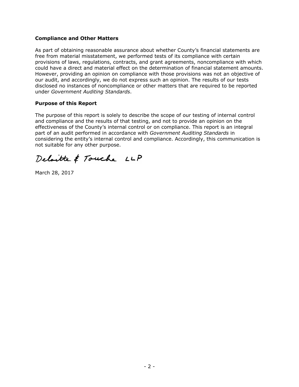#### **Compliance and Other Matters**

As part of obtaining reasonable assurance about whether County's financial statements are free from material misstatement, we performed tests of its compliance with certain provisions of laws, regulations, contracts, and grant agreements, noncompliance with which could have a direct and material effect on the determination of financial statement amounts. However, providing an opinion on compliance with those provisions was not an objective of our audit, and accordingly, we do not express such an opinion. The results of our tests disclosed no instances of noncompliance or other matters that are required to be reported under *Government Auditing Standards*.

#### **Purpose of this Report**

The purpose of this report is solely to describe the scope of our testing of internal control and compliance and the results of that testing, and not to provide an opinion on the effectiveness of the County's internal control or on compliance. This report is an integral part of an audit performed in accordance with *Government Auditing Standards* in considering the entity's internal control and compliance. Accordingly, this communication is not suitable for any other purpose.

Deloitte & Touche LLP

March 28, 2017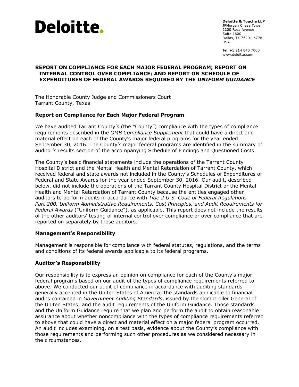

**Deloitte & Touche LLP** JPMorgan Chase Tower 2200 Ross Avenue **Suite 1600** Dallas, TX 75201-6778 **LISA** 

Tel: +1 214 840 7000 www.deloitte.com

#### **REPORT ON COMPLIANCE FOR EACH MAJOR FEDERAL PROGRAM; REPORT ON INTERNAL CONTROL OVER COMPLIANCE; AND REPORT ON SCHEDULE OF EXPENDITURES OF FEDERAL AWARDS REQUIRED BY THE** *UNIFORM GUIDANCE*

The Honorable County Judge and Commissioners Court Tarrant County, Texas

#### **Report on Compliance for Each Major Federal Program**

We have audited Tarrant County's (the "County") compliance with the types of compliance requirements described in the *OMB Compliance Supplement* that could have a direct and material effect on each of the County's major federal programs for the year ended September 30, 2016. The County's major federal programs are identified in the summary of auditor's results section of the accompanying Schedule of Findings and Questioned Costs.

The County's basic financial statements include the operations of the Tarrant County Hospital District and the Mental Health and Mental Retardation of Tarrant County, which received federal and state awards not included in the County's Schedules of Expenditures of Federal and State Awards for the year ended September 30, 2016. Our audit, described below, did not include the operations of the Tarrant County Hospital District or the Mental Health and Mental Retardation of Tarrant County because the entities engaged other auditors to perform audits in accordance with *Title 2 U.S. Code of Federal Regulations Part 200, Uniform Administrative Requirements, Cost Principles, and Audit Requirements for Federal Awards* ("Uniform Guidance"), as applicable. This report does not include the results of the other auditors' testing of internal control over compliance or over compliance that are reported on separately by those auditors.

#### **Management's Responsibility**

Management is responsible for compliance with federal statutes, regulations, and the terms and conditions of its federal awards applicable to its federal programs.

#### **Auditor's Responsibility**

Our responsibility is to express an opinion on compliance for each of the County's major federal programs based on our audit of the types of compliance requirements referred to above. We conducted our audit of compliance in accordance with auditing standards generally accepted in the United States of America; the standards applicable to financial audits contained in *Government Auditing Standards*, issued by the Comptroller General of the United States; and the audit requirements of the Uniform Guidance. Those standards and the Uniform Guidance require that we plan and perform the audit to obtain reasonable assurance about whether noncompliance with the types of compliance requirements referred to above that could have a direct and material effect on a major federal program occurred. An audit includes examining, on a test basis, evidence about the County's compliance with those requirements and performing such other procedures as we considered necessary in the circumstances.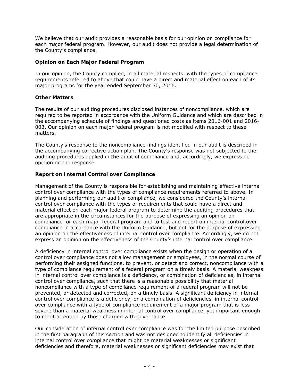We believe that our audit provides a reasonable basis for our opinion on compliance for each major federal program. However, our audit does not provide a legal determination of the County's compliance.

#### **Opinion on Each Major Federal Program**

In our opinion, the County complied, in all material respects, with the types of compliance requirements referred to above that could have a direct and material effect on each of its major programs for the year ended September 30, 2016.

#### **Other Matters**

The results of our auditing procedures disclosed instances of noncompliance, which are required to be reported in accordance with the Uniform Guidance and which are described in the accompanying schedule of findings and questioned costs as items 2016-001 and 2016- 003. Our opinion on each major federal program is not modified with respect to these matters.

The County's response to the noncompliance findings identified in our audit is described in the accompanying corrective action plan. The County's response was not subjected to the auditing procedures applied in the audit of compliance and, accordingly, we express no opinion on the response.

#### **Report on Internal Control over Compliance**

Management of the County is responsible for establishing and maintaining effective internal control over compliance with the types of compliance requirements referred to above. In planning and performing our audit of compliance, we considered the County's internal control over compliance with the types of requirements that could have a direct and material effect on each major federal program to determine the auditing procedures that are appropriate in the circumstances for the purpose of expressing an opinion on compliance for each major federal program and to test and report on internal control over compliance in accordance with the Uniform Guidance, but not for the purpose of expressing an opinion on the effectiveness of internal control over compliance. Accordingly, we do not express an opinion on the effectiveness of the County's internal control over compliance.

A *deficiency in internal control over compliance* exists when the design or operation of a control over compliance does not allow management or employees, in the normal course of performing their assigned functions, to prevent, or detect and correct, noncompliance with a type of compliance requirement of a federal program on a timely basis. A *material weakness in internal control over compliance* is a deficiency, or combination of deficiencies, in internal control over compliance, such that there is a reasonable possibility that material noncompliance with a type of compliance requirement of a federal program will not be prevented, or detected and corrected, on a timely basis. A *significant deficiency in internal control over compliance* is a deficiency, or a combination of deficiencies, in internal control over compliance with a type of compliance requirement of a major program that is less severe than a material weakness in internal control over compliance, yet important enough to merit attention by those charged with governance.

Our consideration of internal control over compliance was for the limited purpose described in the first paragraph of this section and was not designed to identify all deficiencies in internal control over compliance that might be material weaknesses or significant deficiencies and therefore, material weaknesses or significant deficiencies may exist that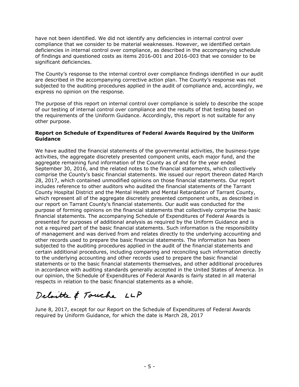have not been identified. We did not identify any deficiencies in internal control over compliance that we consider to be material weaknesses. However, we identified certain deficiencies in internal control over compliance, as described in the accompanying schedule of findings and questioned costs as items 2016-001 and 2016-003 that we consider to be significant deficiencies.

The County's response to the internal control over compliance findings identified in our audit are described in the accompanying corrective action plan. The County's response was not subjected to the auditing procedures applied in the audit of compliance and, accordingly, we express no opinion on the response.

The purpose of this report on internal control over compliance is solely to describe the scope of our testing of internal control over compliance and the results of that testing based on the requirements of the Uniform Guidance. Accordingly, this report is not suitable for any other purpose.

#### **Report on Schedule of Expenditures of Federal Awards Required by the Uniform Guidance**

We have audited the financial statements of the governmental activities, the business-type activities, the aggregate discretely presented component units, each major fund, and the aggregate remaining fund information of the County as of and for the year ended September 30, 2016, and the related notes to the financial statements, which collectively comprise the County's basic financial statements. We issued our report thereon dated March 28, 2017, which contained unmodified opinions on those financial statements. Our report includes reference to other auditors who audited the financial statements of the Tarrant County Hospital District and the Mental Health and Mental Retardation of Tarrant County, which represent all of the aggregate discretely presented component units, as described in our report on Tarrant County's financial statements. Our audit was conducted for the purpose of forming opinions on the financial statements that collectively comprise the basic financial statements. The accompanying Schedule of Expenditures of Federal Awards is presented for purposes of additional analysis as required by the Uniform Guidance and is not a required part of the basic financial statements. Such information is the responsibility of management and was derived from and relates directly to the underlying accounting and other records used to prepare the basic financial statements. The information has been subjected to the auditing procedures applied in the audit of the financial statements and certain additional procedures, including comparing and reconciling such information directly to the underlying accounting and other records used to prepare the basic financial statements or to the basic financial statements themselves, and other additional procedures in accordance with auditing standards generally accepted in the United States of America. In our opinion, the Schedule of Expenditures of Federal Awards is fairly stated in all material respects in relation to the basic financial statements as a whole.

Deloitte & Touche LLP

June 8, 2017, except for our Report on the Schedule of Expenditures of Federal Awards required by Uniform Guidance, for which the date is March 28, 2017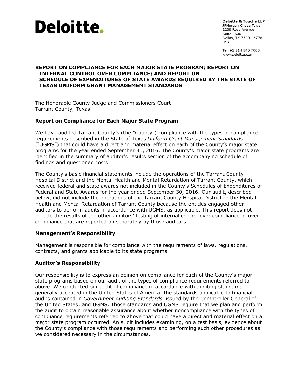

**Deloitte & Touche LLP** JPMorgan Chase Tower 2200 Ross Avenue **Suite 1600** Dallas, TX 75201-6778 LISA

Tel: +1 214 840 7000 www.deloitte.com

#### **REPORT ON COMPLIANCE FOR EACH MAJOR STATE PROGRAM; REPORT ON INTERNAL CONTROL OVER COMPLIANCE; AND REPORT ON SCHEDULE OF EXPENDITURES OF STATE AWARDS REQUIRED BY THE STATE OF TEXAS UNIFORM GRANT MANAGEMENT STANDARDS**

The Honorable County Judge and Commissioners Court Tarrant County, Texas

#### **Report on Compliance for Each Major State Program**

We have audited Tarrant County's (the "County") compliance with the types of compliance requirements described in the State of Texas *Uniform Grant Management Standards* ("UGMS") that could have a direct and material effect on each of the County's major state programs for the year ended September 30, 2016. The County's major state programs are identified in the summary of auditor's results section of the accompanying schedule of findings and questioned costs.

The County's basic financial statements include the operations of the Tarrant County Hospital District and the Mental Health and Mental Retardation of Tarrant County, which received federal and state awards not included in the County's Schedules of Expenditures of Federal and State Awards for the year ended September 30, 2016. Our audit, described below, did not include the operations of the Tarrant County Hospital District or the Mental Health and Mental Retardation of Tarrant County because the entities engaged other auditors to perform audits in accordance with UGMS, as applicable. This report does not include the results of the other auditors' testing of internal control over compliance or over compliance that are reported on separately by those auditors.

#### **Management's Responsibility**

Management is responsible for compliance with the requirements of laws, regulations, contracts, and grants applicable to its state programs.

#### **Auditor's Responsibility**

Our responsibility is to express an opinion on compliance for each of the County's major state programs based on our audit of the types of compliance requirements referred to above. We conducted our audit of compliance in accordance with auditing standards generally accepted in the United States of America; the standards applicable to financial audits contained in *Government Auditing Standards*, issued by the Comptroller General of the United States; and UGMS. Those standards and UGMS require that we plan and perform the audit to obtain reasonable assurance about whether noncompliance with the types of compliance requirements referred to above that could have a direct and material effect on a major state program occurred. An audit includes examining, on a test basis, evidence about the County's compliance with those requirements and performing such other procedures as we considered necessary in the circumstances.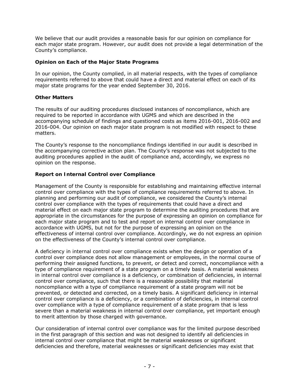We believe that our audit provides a reasonable basis for our opinion on compliance for each major state program. However, our audit does not provide a legal determination of the County's compliance.

#### **Opinion on Each of the Major State Programs**

In our opinion, the County complied, in all material respects, with the types of compliance requirements referred to above that could have a direct and material effect on each of its major state programs for the year ended September 30, 2016.

#### **Other Matters**

The results of our auditing procedures disclosed instances of noncompliance, which are required to be reported in accordance with UGMS and which are described in the accompanying schedule of findings and questioned costs as items 2016-001, 2016-002 and 2016-004. Our opinion on each major state program is not modified with respect to these matters.

The County's response to the noncompliance findings identified in our audit is described in the accompanying corrective action plan. The County's response was not subjected to the auditing procedures applied in the audit of compliance and, accordingly, we express no opinion on the response.

#### **Report on Internal Control over Compliance**

Management of the County is responsible for establishing and maintaining effective internal control over compliance with the types of compliance requirements referred to above. In planning and performing our audit of compliance, we considered the County's internal control over compliance with the types of requirements that could have a direct and material effect on each major state program to determine the auditing procedures that are appropriate in the circumstances for the purpose of expressing an opinion on compliance for each major state program and to test and report on internal control over compliance in accordance with UGMS, but not for the purpose of expressing an opinion on the effectiveness of internal control over compliance. Accordingly, we do not express an opinion on the effectiveness of the County's internal control over compliance.

A *deficiency in internal control over compliance* exists when the design or operation of a control over compliance does not allow management or employees, in the normal course of performing their assigned functions, to prevent, or detect and correct, noncompliance with a type of compliance requirement of a state program on a timely basis. A *material weakness in internal control over compliance* is a deficiency, or combination of deficiencies, in internal control over compliance, such that there is a reasonable possibility that material noncompliance with a type of compliance requirement of a state program will not be prevented, or detected and corrected, on a timely basis. A *significant deficiency in internal control over compliance* is a deficiency, or a combination of deficiencies, in internal control over compliance with a type of compliance requirement of a state program that is less severe than a material weakness in internal control over compliance, yet important enough to merit attention by those charged with governance.

Our consideration of internal control over compliance was for the limited purpose described in the first paragraph of this section and was not designed to identify all deficiencies in internal control over compliance that might be material weaknesses or significant deficiencies and therefore, material weaknesses or significant deficiencies may exist that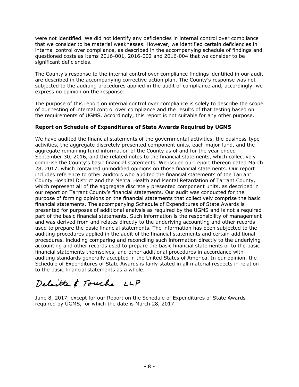were not identified. We did not identify any deficiencies in internal control over compliance that we consider to be material weaknesses. However, we identified certain deficiencies in internal control over compliance, as described in the accompanying schedule of findings and questioned costs as items 2016-001, 2016-002 and 2016-004 that we consider to be significant deficiencies.

The County's response to the internal control over compliance findings identified in our audit are described in the accompanying corrective action plan. The County's response was not subjected to the auditing procedures applied in the audit of compliance and, accordingly, we express no opinion on the response.

The purpose of this report on internal control over compliance is solely to describe the scope of our testing of internal control over compliance and the results of that testing based on the requirements of UGMS. Accordingly, this report is not suitable for any other purpose.

#### **Report on Schedule of Expenditures of State Awards Required by UGMS**

We have audited the financial statements of the governmental activities, the business-type activities, the aggregate discretely presented component units, each major fund, and the aggregate remaining fund information of the County as of and for the year ended September 30, 2016, and the related notes to the financial statements, which collectively comprise the County's basic financial statements. We issued our report thereon dated March 28, 2017, which contained unmodified opinions on those financial statements. Our report includes reference to other auditors who audited the financial statements of the Tarrant County Hospital District and the Mental Health and Mental Retardation of Tarrant County, which represent all of the aggregate discretely presented component units, as described in our report on Tarrant County's financial statements. Our audit was conducted for the purpose of forming opinions on the financial statements that collectively comprise the basic financial statements. The accompanying Schedule of Expenditures of State Awards is presented for purposes of additional analysis as required by the UGMS and is not a required part of the basic financial statements. Such information is the responsibility of management and was derived from and relates directly to the underlying accounting and other records used to prepare the basic financial statements. The information has been subjected to the auditing procedures applied in the audit of the financial statements and certain additional procedures, including comparing and reconciling such information directly to the underlying accounting and other records used to prepare the basic financial statements or to the basic financial statements themselves, and other additional procedures in accordance with auditing standards generally accepted in the United States of America. In our opinion, the Schedule of Expenditures of State Awards is fairly stated in all material respects in relation to the basic financial statements as a whole.

# Deloitte & Touche LLP

June 8, 2017, except for our Report on the Schedule of Expenditures of State Awards required by UGMS, for which the date is March 28, 2017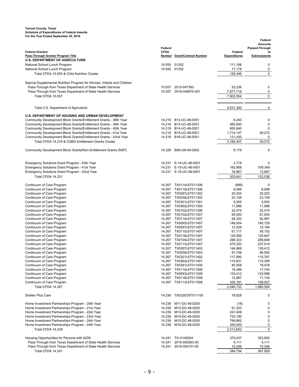#### **Tarrant County, Texas Schedule of Expenditures of Federal Awards For the Year Ended September 30, 2016**

| ror the rear Ended Oeptember 30, 2016                                                                                                  |              |                                                  |                      | Federal                          |
|----------------------------------------------------------------------------------------------------------------------------------------|--------------|--------------------------------------------------|----------------------|----------------------------------|
|                                                                                                                                        | Federal      |                                                  |                      | <b>Amounts</b><br>Passed-Through |
| <b>Federal Grantor/</b>                                                                                                                | <b>CFDA</b>  |                                                  | Federal              | to                               |
| <b>Pass-Through Grantor Program Title</b>                                                                                              |              | Number Grant/Contract Number                     | <b>Expenditures</b>  | <b>Subrecipients</b>             |
| <b>U.S. DEPARTMENT OF AGRICULTURE</b>                                                                                                  |              |                                                  |                      |                                  |
| National School Lunch Program                                                                                                          | 10.555 01352 |                                                  | 111,168              | 0                                |
| National School Lunch Program                                                                                                          | 10.555       | 01352                                            | 17,178               | 0                                |
| Total CFDA 10.555 & Child Nutrition Cluster                                                                                            |              |                                                  | 128,346              | $\pmb{0}$                        |
| Special Supplemental Nutrition Program for Women, Infants and Children                                                                 |              |                                                  |                      |                                  |
| Pass-Through from Texas Department of State Health Services                                                                            | 10.557       | 2015-047383                                      | 25,236               | 0                                |
| Pass-Through from Texas Department of State Health Services                                                                            |              | 10.557 2016-048874-001                           | 7,877,718            | 0                                |
| Total CFDA 10.557                                                                                                                      |              |                                                  | 7,902,954            | $\pmb{0}$                        |
|                                                                                                                                        |              |                                                  |                      |                                  |
| Total U.S. Department of Agriculture                                                                                                   |              |                                                  | 8,031,300            | 0                                |
|                                                                                                                                        |              |                                                  |                      |                                  |
| U.S. DEPARTMENT OF HOUSING AND URBAN DEVELOPMENT                                                                                       |              |                                                  |                      |                                  |
| Community Development Block Grants/Entitlement Grants - 38th Year                                                                      | 14.218       | B12-UC-48-0001                                   | 6,240                | 0                                |
| Community Development Block Grants/Entitlement Grants - 39th Year                                                                      | 14.218       | B13-UC-48-0001                                   | 460,950              | 0                                |
| Community Development Block Grants/Entitlement Grants - 40th Year                                                                      |              | 14.218 B14-UC-48-0001<br>14.218 B15-UC-48-0001   | 855,640<br>1,714,147 | 0<br>29,272                      |
| Community Development Block Grants/Entitlement Grants - 41st Year<br>Community Development Block Grants/Entitlement Grants - 42nd Year |              | 14.218 B16-UC-48-0001                            | 131,430              | 0                                |
| Total CFDA 14.218 & CDBG Entitlement Grants Cluster                                                                                    |              |                                                  | 3,168,407            | 29,272                           |
|                                                                                                                                        |              |                                                  |                      |                                  |
| Community Development Block Grants/Non-Entitlement Grants (NSP)                                                                        | 14.228       | B08-UN-48-0002                                   | 9,179                | $\mathbf 0$                      |
|                                                                                                                                        |              |                                                  |                      |                                  |
|                                                                                                                                        |              |                                                  |                      |                                  |
| Emergency Solutions Grant Program - 40th Year<br>Emergency Solutions Grant Program - 41st Year                                         | 14.231       | E-14-UC-48-0001<br>14.231 E-15-UC-48-0001        | 2,718<br>183,956     | 0<br>109,349                     |
| Emergency Solutions Grant Program - 42nd Year                                                                                          |              | 14.231 E-16-UC-48-0001                           | 16,967               | 12,687                           |
| Total CFDA 14.231                                                                                                                      |              |                                                  | 203.641              | 122,036                          |
|                                                                                                                                        |              |                                                  |                      |                                  |
| Continuum of Care Program                                                                                                              | 14.267       | TX0114L6T011306                                  | (689)                | 0                                |
| Continuum of Care Program                                                                                                              | 14.267       | TX0115L6T011306                                  | 8,098                | 8,098                            |
| Continuum of Care Program                                                                                                              |              | 14.267 TX0287L6T011302                           | 20,254               | 20,252                           |
| Continuum of Care Program                                                                                                              | 14.267       | TX0259L6T011302                                  | 23,109               | 23,109                           |
| Continuum of Care Program<br>Continuum of Care Program                                                                                 |              | 14.267 TX0321L6T011301<br>14.267 TX0362L6T011300 | 5,505<br>11,986      | 5,505<br>11,986                  |
| Continuum of Care Program                                                                                                              |              | 14.267 TX0102L6T011306                           | 22,474               | 22,474                           |
| Continuum of Care Program                                                                                                              | 14.267       | TX0102L6T011407                                  | 85,550               | 81,934                           |
| Continuum of Care Program                                                                                                              | 14.267       | TX0114L6T011407                                  | 94,332               | 92,967                           |
| Continuum of Care Program                                                                                                              |              | 14.267 TX0093L6T011407                           | 146,004              | 145,729                          |
| Continuum of Care Program                                                                                                              | 14.267       | TX0097L6T011407                                  | 12,209               | 12,194                           |
| Continuum of Care Program<br>Continuum of Care Program                                                                                 | 14.267       | 14.267 TX0115L6T011407<br>TX0116L6T011407        | 61,717<br>130,569    | 59,152<br>125,847                |
| Continuum of Care Program                                                                                                              |              | 14.267 TX0104L6T011407                           | 298,323              | 288,648                          |
| Continuum of Care Program                                                                                                              |              | 14.267 TX0113L6T011407                           | 470,320              | 237,014                          |
| Continuum of Care Program                                                                                                              | 14.267       | TX0287L6T011403                                  | 144,969              | 139,412                          |
| Continuum of Care Program                                                                                                              |              | 14.267 TX0259L6T011403                           | 91,748               | 88,592                           |
| Continuum of Care Program                                                                                                              | 14.267       | TX0321L6T011402                                  | 117,890              | 115,761                          |
| Continuum of Care Program                                                                                                              |              | 14.267 TX0362L6T011401                           | 115,831              | 110,395                          |
| Continuum of Care Program                                                                                                              | 14.267       | TX0381L6T011400<br>14.267 TX0114L6T011508        | 85,558<br>19,396     | 79,478<br>17,744                 |
| Continuum of Care Program<br>Continuum of Care Program                                                                                 | 14.267       | TX0093L6T011508                                  | 133,412              | 123,586                          |
| Continuum of Care Program                                                                                                              | 14.267       | TX0116L6T011508                                  | 12,987               | 11,130                           |
| Continuum of Care Program                                                                                                              | 14.267       | TX0113L6T011508                                  | 335,181              | 159,557                          |
| Total CFDA 14.267                                                                                                                      |              |                                                  | 2,446,733            | 1,980,564                        |
|                                                                                                                                        |              |                                                  |                      |                                  |
| <b>Shelter Plus Care</b>                                                                                                               | 14.238       | TX0320C6T011100                                  | 78,628               | 0                                |
| Home Investment Partnerships Program - 20th Year                                                                                       | 14.239       | M11-DC-48-0200                                   | (18)                 | 0                                |
| Home Investment Partnerships Program - 21st Year                                                                                       | 14.239       | M12-DC-48-0200                                   | 91,220               | 0                                |
| Home Investment Partnerships Program - 22st Year                                                                                       | 14.239       | M13-DC-48-0200                                   | 247,408              | 0                                |
| Home Investment Partnerships Program - 23rd Year                                                                                       | 14.239       | M14-DC-48-0200                                   | 725,180              | 0                                |
| Home Investment Partnerships Program - 24th Year                                                                                       | 14.239       | M15-DC-48-0200                                   | 799,862              | 0                                |
| Home Investment Partnerships Program - 24th Year                                                                                       | 14.239       | M16-DC-48-0200                                   | 350,000              | 0                                |
| Total CFDA 14.239                                                                                                                      |              |                                                  | 2,213,652            | 0                                |
| Housing Opportunities for Persons with AIDS                                                                                            | 14.241       | TX-H140024                                       | 370,437              | 353,602                          |
| Pass-Through from Texas Department of State Health Services                                                                            | 14.241       | 2015-002563-00                                   | 4,111                | 4,111                            |
| Pass-Through from Texas Department of State Health Services                                                                            | 14.241       | 2016-004101-00                                   | 10,246               | 10,246                           |
| Total CFDA 14.241                                                                                                                      |              |                                                  | 384,794              | 367,959                          |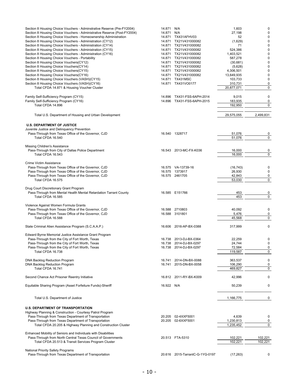| Section 8 Housing Choice Vouchers - Adminstrative Reserve (Pre-FY2004)   | 14.871     | N/A                             | 1,603      | 0           |
|--------------------------------------------------------------------------|------------|---------------------------------|------------|-------------|
|                                                                          |            |                                 |            | $\pmb{0}$   |
| Section 8 Housing Choice Vouchers - Administrative Reserve (Post-FY2004) | 14.871     | N/A                             | 27,198     |             |
| Section 8 Housing Choice Vouchers - Homeownership Administration         | 14.871     | TX431AFHV03                     | 52         | 0           |
| Section 8 Housing Choice Vouchers - Administration (CY12)                |            | 14.871 TX21V431000082           | (1,629)    | 0           |
| Section 8 Housing Choice Vouchers - Administration (CY14)                |            | 14.871 TX21V431000082           | 71         | 0           |
| Section 8 Housing Choice Vouchers - Administration (CY15)                |            | 14.871 TX21V431000082           | 524,386    | $\pmb{0}$   |
| Section 8 Housing Choice Vouchers - Administration (CY16)                |            | 14.871 TX21V431000082           | 1,403,521  | $\pmb{0}$   |
| Section 8 Housing Choice Vouchers - Portability                          |            | 14.871 TX21V431000082           | 587,278    | $\pmb{0}$   |
| Section 8 Housing Choice Vouchers(CY12)                                  |            | 14.871 TX21V431000082           | (30, 681)  | $\pmb{0}$   |
| Section 8 Housing Choice Vouchers(CY14)                                  |            | 14.871 TX21V431000082           | (5,628)    | 0           |
| Section 8 Housing Choice Vouchers(CY15)                                  |            | 14.871 TX21V431000082           | 4,306,501  | $\pmb{0}$   |
| Section 8 Housing Choice Vouchers(CY16)                                  |            | 14.871 TX21V431000082           | 13,649,935 | $\pmb{0}$   |
| Section 8 Housing Choice Vouchers (VASH)(CY15)                           |            | 14.871 TX431MSC                 | 103,733    | 0           |
| Section 8 Housing Choice Vouchers (VASH)(CY16)                           |            | 14.871 TX431VO0177              | 310,731    | 0           |
| Total CFDA 14.871 & Housing Voucher Cluster                              |            |                                 | 20,877,071 | $\pmb{0}$   |
|                                                                          |            |                                 |            |             |
|                                                                          |            |                                 |            |             |
| Family Self-Sufficiency Program (CY15)                                   |            | 14.896 TX431-FSS-6APH-2014      | 9,015      | 0           |
| Family Self-Sufficiency Program (CY16)                                   |            | 14.896 TX431-FSS-6APH-2015      | 183,935    | 0           |
| Total CFDA 14.896                                                        |            |                                 | 192,950    | $\pmb{0}$   |
|                                                                          |            |                                 |            |             |
| Total U.S. Department of Housing and Urban Development                   |            |                                 | 29,575,055 | 2,499,831   |
|                                                                          |            |                                 |            |             |
|                                                                          |            |                                 |            |             |
| <b>U.S. DEPARTMENT OF JUSTICE</b>                                        |            |                                 |            |             |
| Juvenile Justice and Delinquency Prevention                              |            |                                 |            |             |
| Pass-Through from Texas Office of the Governor, CJD                      |            | 16.540 1328717                  | 51,076     | 0           |
| Total CFDA 16.540                                                        |            |                                 | 51,076     | $\pmb{0}$   |
|                                                                          |            |                                 |            |             |
| Missing Children's Assistance                                            |            |                                 |            |             |
| Pass-Through from City of Dallas Police Department                       |            | 16.543 2013-MC-FX-K036          | 16,000     | 0           |
| Total CFDA 16.543                                                        |            |                                 | 16,000     | $\pmb{0}$   |
|                                                                          |            |                                 |            |             |
| Crime Victim Assistance                                                  |            |                                 |            |             |
|                                                                          |            |                                 |            |             |
| Pass-Through from Texas Office of the Governor, CJD                      |            | 16.575 VA-13739-16              | (16, 743)  | 0           |
| Pass-Through from Texas Office of the Governor, CJD                      |            | 16.575 1373917                  | 26,930     | 0           |
| Pass-Through from Texas Office of the Governor, CJD                      |            | 16.575 2461705                  | 42,843     | 0           |
| Total CFDA 16.575                                                        |            |                                 | 53,030     | $\pmb{0}$   |
|                                                                          |            |                                 |            |             |
| Drug Court Discretionary Grant Program                                   |            |                                 |            |             |
| Pass-Through from Mental Health Mental Retardation Tarrant County        |            | 16.585 E151766                  | 453        | 0           |
| Total CFDA 16.585                                                        |            |                                 | 453        | $\mathbf 0$ |
|                                                                          |            |                                 |            |             |
| Violence Against Women Formula Grants                                    |            |                                 |            |             |
| Pass-Through from Texas Office of the Governor, CJD                      |            |                                 | 40,092     | 0           |
|                                                                          |            | 16.588 2710803                  |            |             |
| Pass-Through from Texas Office of the Governor, CJD                      |            | 16.588 3101801                  | 5,476      | 0           |
| Total CFDA 16.588                                                        |            |                                 | 45,568     | 0           |
|                                                                          |            |                                 |            |             |
| State Criminal Alien Assistance Program (S.C.A.A.P.)                     |            | 16.606 2016-AP-BX-0388          | 317,999    | 0           |
|                                                                          |            |                                 |            |             |
| Edward Byrne Memorial Justice Assistance Grant Program                   |            |                                 |            |             |
| Pass-Through from the City of Fort Worth, Texas                          |            | 16.738 2013-DJ-BX-0364          | 22.259     | 0           |
| Pass-Through from the City of Fort Worth, Texas                          |            | 16.738 2014-DJ-BX-0297          | 24,744     | $\mathbf 0$ |
| Pass-Through from the City of Fort Worth, Texas                          |            | 16.738 2014-DJ-BX-0297          | 72,584     | 0           |
| Total CFDA 16.738                                                        |            |                                 | 119,587    | $\pmb{0}$   |
|                                                                          |            |                                 |            |             |
| DNA Backlog Reduction Program                                            | 16.741     | 2014-DN-BX-0088                 | 363,537    | 0           |
|                                                                          |            |                                 |            |             |
| DNA Backlog Reduction Program                                            |            | 16.741 2015-DN-BX-0058          | 106,290    | 0           |
| Total CFDA 16.741                                                        |            |                                 | 469,827    | $\pmb{0}$   |
|                                                                          |            |                                 |            |             |
| Second Chance Act Prisoner Reentry Initiative                            |            | 16.812 2011-RY-BX-K009          | 42,996     | 0           |
|                                                                          |            |                                 |            |             |
| Equitable Sharing Program (Asset Forfeiture Funds)-Sheriff               | 16.922 N/A |                                 | 50,239     | 0           |
|                                                                          |            |                                 |            |             |
|                                                                          |            |                                 |            |             |
| Total U.S. Department of Justice                                         |            |                                 | 1,166,775  | 0           |
|                                                                          |            |                                 |            |             |
|                                                                          |            |                                 |            |             |
| <b>U.S. DEPARTMENT OF TRANSPORTATION</b>                                 |            |                                 |            |             |
| Highway Planning & Construction - Courtesy Patrol Program                |            |                                 |            |             |
| Pass-Through from Texas Department of Transportation                     |            | 20.205 02-4XXF5001              | 4,639      | 0           |
| Pass-Through from Texas Department of Transportation                     |            | 20.205 02-6XXF5001              | 1,230,813  | 0           |
| Total CFDA 20.205 & Highway Planning and Construction Cluster            |            |                                 | 1,235,452  | 0           |
|                                                                          |            |                                 |            |             |
| Enhanced Mobility of Seniors and Individuals with Disabilities           |            |                                 |            |             |
|                                                                          |            |                                 |            |             |
| Pass-Through from North Central Texas Council of Governments             |            | 20.513 FTA-5310                 | 102,221    | 102,221     |
| Total CFDA 20.513 & Transit Services Program Cluster                     |            |                                 | 102,221    | 102,221     |
|                                                                          |            |                                 |            |             |
| National Priority Safety Programs                                        |            |                                 |            |             |
| Pass-Through from Texas Department of Transportation                     |            | 20.616 2015-TarrantC-G-1YG-0197 | (17, 263)  | 0           |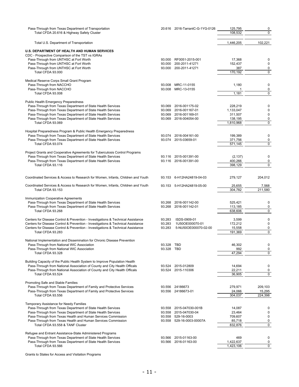| Pass-Through from Texas Department of Transportation<br>Total CFDA 20.616 & Highway Safety Cluster                                           |                  | 20.616 2016-TarrantC-G-1YG-0126   | 125,795<br>108,532    | 0<br>0            |
|----------------------------------------------------------------------------------------------------------------------------------------------|------------------|-----------------------------------|-----------------------|-------------------|
| Total U.S. Department of Transportation                                                                                                      |                  |                                   | 1,446,205             | 102,221           |
| <b>U.S. DEPARTMENT OF HEALTH AND HUMAN SERVICES</b>                                                                                          |                  |                                   |                       |                   |
| CDC - Prospective Comparison of the TST vs IGRAs                                                                                             |                  |                                   |                       |                   |
| Pass-Through from UNTHSC at Fort Worth<br>Pass-Through from UNTHSC at Fort Worth                                                             | 93.000<br>93.000 | RF0051-2015-001<br>200-2011-41271 | 17,368<br>152,437     | 0<br>0            |
| Pass-Through from UNTHSC at Fort Worth                                                                                                       | 93.000           | 200-2011-41271                    | 387                   | 0                 |
| Total CFDA 93.000                                                                                                                            |                  |                                   | 170,192               | 0                 |
|                                                                                                                                              |                  |                                   |                       |                   |
| Medical Reserve Corps Small Grant Program                                                                                                    |                  |                                   |                       |                   |
| Pass-Through from NACCHO                                                                                                                     | 93.008           | MRC-11-0155                       | 1,180                 | 0                 |
| Pass-Through from NACCHO<br>Total CFDA 93.008                                                                                                | 93.008           | MRC-13-0155                       | $\mathbf{1}$<br>1,181 | 0<br>0            |
|                                                                                                                                              |                  |                                   |                       |                   |
| Public Health Emergency Preparedness                                                                                                         |                  |                                   |                       |                   |
| Pass-Through from Texas Department of State Health Services                                                                                  | 93.069           | 2016-001175-02                    | 228,219               | 0                 |
| Pass-Through from Texas Department of State Health Services                                                                                  | 93.069           | 2016-001167-01                    | 1,133,047             | 0<br>0            |
| Pass-Through from Texas Department of State Health Services                                                                                  | 93.069           | 2016-001169-01<br>2016-004054-00  | 311,507               | 0                 |
| Pass-Through from Texas Department of State Health Services<br>Total CFDA 93.069                                                             | 93.069           |                                   | 138,195<br>1,810,968  | 0                 |
|                                                                                                                                              |                  |                                   |                       |                   |
| Hospital Preparedness Program & Public Health Emergency Preparedness                                                                         |                  |                                   |                       |                   |
| Pass-Through from Texas Department of State Health Services                                                                                  | 93.074           | 2016-004161-00                    | 199,389               | 0                 |
| Pass-Through from Texas Department of State Health Services                                                                                  | 93.074           | 2015-03659-01                     | 371,756               | 0                 |
| Total CFDA 93.074                                                                                                                            |                  |                                   | 571,145               | 0                 |
|                                                                                                                                              |                  |                                   |                       |                   |
| Project Grants and Cooperative Agreements for Tuberculosis Control Programs                                                                  |                  |                                   |                       |                   |
| Pass-Through from Texas Department of State Health Services                                                                                  | 93.116           | 2015-001391-00                    | (2, 137)              | 0                 |
| Pass-Through from Texas Department of State Health Services                                                                                  |                  | 93.116 2016-001391-00             | 400,266               | 0                 |
| Total CFDA 93.116                                                                                                                            |                  |                                   | 398,129               | 0                 |
|                                                                                                                                              |                  |                                   |                       |                   |
| Coordinated Services & Access to Research for Women, Infants, Children and Youth                                                             |                  | 93.153 6-H12HA24819-04-03         | 279,127               | 204,012           |
| Coordinated Services & Access to Research for Women, Infants, Children and Youth                                                             |                  | 93.153 5-H12HA24819-05-00         | 25,655                | 7,568             |
| Total CFDA 93.153                                                                                                                            |                  |                                   | 304,782               | 211,580           |
|                                                                                                                                              |                  |                                   |                       |                   |
| Immunization Cooperative Agreements                                                                                                          |                  |                                   |                       |                   |
| Pass-Through from Texas Department of State Health Services                                                                                  | 93.268           | 2016-001142-00                    | 525,421               | 0                 |
| Pass-Through from Texas Department of State Health Services                                                                                  | 93.268           | 2016-001142-01                    | 113,185               | 0                 |
| Total CFDA 93.268                                                                                                                            |                  |                                   | 638,606               | 0                 |
| Centers for Disease Control & Prevention - Investigations & Technical Assistance                                                             | 93.283           | ISDS-0909-01                      | 3,599                 | 0                 |
| Centers for Disease Control & Prevention - Investigations & Technical Assistance                                                             | 93.283           | 1U50OE000070-01                   | 172,212               | 0                 |
| Centers for Disease Control & Prevention - Investigations & Technical Assistance                                                             | 93.283           | 5-NU50OE000070-02-00              | 15,558                | 0                 |
| Total CFDA 93.283                                                                                                                            |                  |                                   | 191,369               | 0                 |
|                                                                                                                                              |                  |                                   |                       |                   |
| National Implementation and Dissemination for Chronic Disease Prevention                                                                     |                  |                                   |                       |                   |
| Pass-Through from National WIC Association                                                                                                   | 93.328 TBD       |                                   | 46,302                |                   |
| Pass-Through from National WIC Association                                                                                                   | 93.328 TBD       |                                   | 992                   | 0                 |
| Total CFDA 93.328                                                                                                                            |                  |                                   | 47,294                | 0                 |
| Building Capacity of the Public Health System to Improve Population Health                                                                   |                  |                                   |                       |                   |
| Pass-Through from National Association of County and City Health Officals                                                                    | 93.524           | 2015-012809                       | 14,694                | 0                 |
| Pass-Through from National Association of County and City Health Officals                                                                    | 93.524           | 2015-110306                       | 22,211                | 0                 |
| Total CFDA 93.524                                                                                                                            |                  |                                   | 36,905                | 0                 |
|                                                                                                                                              |                  |                                   |                       |                   |
| Promoting Safe and Stable Families                                                                                                           |                  | 93.556 24186673                   |                       |                   |
| Pass-Through from Texas Department of Family and Protective Services<br>Pass-Through from Texas Department of Family and Protective Services |                  | 93.556 24186673-01                | 279,971<br>24,066     | 209,103<br>15,295 |
| Total CFDA 93.556                                                                                                                            |                  |                                   | 304,037               | 224,398           |
|                                                                                                                                              |                  |                                   |                       |                   |
| Temporary Assistance for Needy Families                                                                                                      |                  |                                   |                       |                   |
| Pass-Through from Texas Department of State Health Services                                                                                  | 93.558           | 2015-047030-001B                  | 14,087                | 0                 |
| Pass-Through from Texas Department of State Health Services                                                                                  | 93.558           | 2015-047030-04                    | 23,464                | 0                 |
| Pass-Through from Texas Health and Human Services Commission                                                                                 | 93.558           | 529-16-0003                       | 709,607               | 0                 |
| Pass-Through from Texas Health and Human Services Commission                                                                                 | 93.558           | 529-16-0003-00007A                | 85,718                | 0                 |
| Total CFDA 93.558 & TANF Cluster                                                                                                             |                  |                                   | 832,876               | 0                 |
| Refugee and Entrant Assistance-State Administered Programs                                                                                   |                  |                                   |                       |                   |
| Pass-Through from Texas Department of State Health Services                                                                                  | 93.566           | 2015-01163-00                     | 469                   | 0                 |
| Pass-Through from Texas Department of State Health Services                                                                                  | 93.566           | 2016-01163-00                     | 1,422,637             | 0                 |
| Total CFDA 93.566                                                                                                                            |                  |                                   | 1,423,106             | 0                 |
|                                                                                                                                              |                  |                                   |                       |                   |

Grants to States for Access and Visitation Programs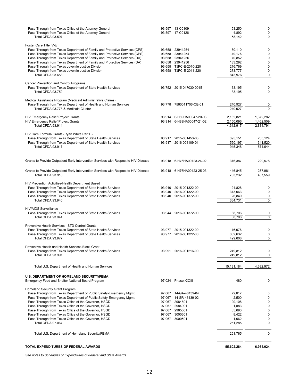| Pass-Through from Texas Office of the Attorney General<br>Pass-Through from Texas Office of the Attorney General |        | 93.597 13-C0109<br>93.597 17-C0126 | 53,250<br>4,892 | $\pmb{0}$<br>0 |
|------------------------------------------------------------------------------------------------------------------|--------|------------------------------------|-----------------|----------------|
| Total CFDA 93.597                                                                                                |        |                                    | 58,142          | $\overline{0}$ |
| Foster Care Title IV-E                                                                                           |        |                                    |                 |                |
| Pass-Through from Texas Department of Family and Protective Services (CPS)                                       | 93.658 | 23941254                           | 50,110          | 0              |
| Pass-Through from Texas Department of Family and Protective Services (CPS)                                       |        | 93.658 23941254                    | 49,176          | 0              |
| Pass-Through from Texas Department of Family and Protective Services (DA)                                        |        | 93.658 23941256                    | 70,852          | 0              |
| Pass-Through from Texas Department of Family and Protective Services (DA)                                        |        | 93.658 23941256                    | 183,292         | 0              |
| Pass-Through from Texas Juvenile Justice Division                                                                |        | 93.658 TJPC-E-2010-220             | 216,769         | $\pmb{0}$      |
| Pass-Through from Texas Juvenile Justice Division                                                                |        | 93.658 TJPC-E-2011-220             | 273,777         | 0              |
| Total CFDA 93.658                                                                                                |        |                                    | 843,976         | 0              |
| Cancer Prevention and Control Programs                                                                           |        |                                    |                 |                |
| Pass-Through from Texas Department of State Health Services                                                      |        | 93.752 2015-047030-001B            | 33,195          | 0              |
| Total CFDA 93.752                                                                                                |        |                                    | 33,195          | 0              |
| Medical Assistance Program (Medicaid Administrative Claims)                                                      |        |                                    |                 |                |
| Pass-Through from Texas Department of Health and Human Services                                                  |        | 93.778 7560011706-OE-01            | 240,927         | 0              |
| Total CFDA 93.778 & Medicaid Cluster                                                                             |        |                                    | 240,927         | 0              |
|                                                                                                                  |        |                                    |                 |                |
| HIV Emergency Relief Project Grants                                                                              | 93.914 | 6-H89HA00047-20-03                 | 2,162,821       | 1,372,282      |
| <b>HIV Emergency Relief Project Grants</b>                                                                       |        | 93.914 6-H89HA00047-21-02          | 2,150,096       | 1,462,509      |
| Total CFDA 93.914                                                                                                |        |                                    | 4,312,917       | 2,834,791      |
| HIV Care Formula Grants (Ryan White Part B)                                                                      |        |                                    |                 |                |
| Pass-Through from Texas Department of State Health Services                                                      | 93.917 | 2015-001453-03                     | 395.151         | 233.124        |
| Pass-Through from Texas Department of State Health Services                                                      |        | 93.917 2016-004109-01              | 550,197         | 341,520        |
| Total CFDA 93.917                                                                                                |        |                                    | 945,348         | 574,644        |
|                                                                                                                  |        |                                    |                 |                |
| Grants to Provide Outpatient Early Intervention Services with Respect to HIV Disease                             |        | 93.918 6-H76HA00123-24-02          | 316,387         | 229,578        |
|                                                                                                                  |        |                                    |                 |                |
| Grants to Provide Outpatient Early Intervention Services with Respect to HIV Disease                             |        | 93.918 6-H76HA00123-25-03          | 446,845         | 257,981        |
| Total CFDA 93.918                                                                                                |        |                                    | 763,232         | 487,559        |
|                                                                                                                  |        |                                    |                 |                |
| HIV Prevention Activities-Health Department Based                                                                |        |                                    |                 |                |
| Pass-Through from Texas Department of State Health Services                                                      | 93.940 | 2015-001322-00                     | 24,828          | 0              |
| Pass-Through from Texas Department of State Health Services                                                      | 93.940 | 2016-001322-00                     | 313,063         | $\pmb{0}$      |
| Pass-Through from Texas Department of State Health Services                                                      | 93.940 | 2015-001372-00                     | 26,840          | 0              |
| Total CFDA 93.940                                                                                                |        |                                    | 364,731         | 0              |
| <b>HIV/AIDS Surveillance</b>                                                                                     |        |                                    |                 |                |
| Pass-Through from Texas Department of State Health Services                                                      |        | 93.944 2016-001372-00              | 88,706          | 0              |
| Total CFDA 93.944                                                                                                |        |                                    | 88,706          | $\mathbf 0$    |
| Preventive Health Services - STD Control Grants                                                                  |        |                                    |                 |                |
| Pass-Through from Texas Department of State Health Services                                                      | 93.977 | 2015-001322-00                     | 116,976         | 0              |
| Pass-Through from Texas Department of State Health Services                                                      |        | 93.977 2016-001322-00              | 382,632         | 0              |
| Total CFDA 93.977                                                                                                |        |                                    | 499,608         | 0              |
|                                                                                                                  |        |                                    |                 |                |
| Preventive Health and Health Services Block Grant<br>Pass-Through from Texas Department of State Health Services |        | 93.991 2016-001216-00              | 249,812         | 0              |
| Total CFDA 93.991                                                                                                |        |                                    | 249,812         | 0              |
|                                                                                                                  |        |                                    |                 |                |
| Total U.S. Department of Health and Human Services                                                               |        |                                    | 15,131,184      | 4,332,972      |
|                                                                                                                  |        |                                    |                 |                |
| U.S. DEPARTMENT OF HOMELAND SECURITY/FEMA                                                                        |        |                                    |                 |                |
| Emergency Food and Shelter National Board Program                                                                |        | 97.024 Phase XXXII                 | 480             | 0              |
| Homeland Security Grant Program                                                                                  |        |                                    |                 |                |
| Pass-Through from Texas Department of Public Safety-Emergency Mgmt.                                              | 97.067 | 14-GA-48439-04                     | 72,617          | 0              |
| Pass-Through from Texas Department of Public Safety-Emergency Mgmt.                                              | 97.067 | 14-SR-48439-02                     | 2,500           | $\mathbf 0$    |
| Pass-Through from Texas Office of the Governor, HSGD                                                             | 97.067 | 2984801                            | 129,108         | 0              |
| Pass-Through from Texas Office of the Governor, HSGD                                                             | 97.067 | 2984901                            | 1,883           | 0              |
| Pass-Through from Texas Office of the Governor, HSGD                                                             | 97.067 | 2985001                            | 35,693          | 0              |
| Pass-Through from Texas Office of the Governor, HSGD                                                             | 97.067 | 3000601                            | 8,422           | 0              |
| Pass-Through from Texas Office of the Governor, HSGD                                                             |        | 97.067 3000501                     | 1,062           | 0              |
| Total CFDA 97.067                                                                                                |        |                                    | 251,285         | 0              |
|                                                                                                                  |        |                                    |                 |                |
| Total U.S. Department of Homeland Security/FEMA                                                                  |        |                                    | 251,765         | 0              |
|                                                                                                                  |        |                                    |                 |                |
| TOTAL EXPENDITURES OF FEDERAL AWARDS                                                                             |        |                                    | 55,602,284      | 6,935,024      |
|                                                                                                                  |        |                                    |                 |                |

*See notes to Schedules of Expenditures of Federal and State Awards*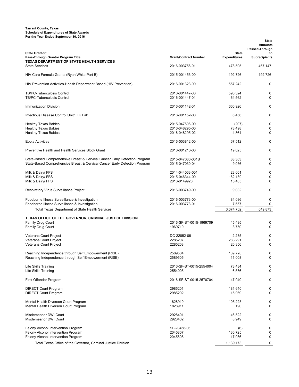**Tarrant County, Texas Schedule of Expenditures of State Awards For the Year Ended September 30, 2016**

| <b>State Grantor/</b><br>Pass-Through Grantor Program Title                                                                                              | <b>Grant/Contract Number</b>       | <b>State</b><br><b>Expenditures</b> | <b>State</b><br><b>Amounts</b><br>Passed-Through<br>to<br><b>Subrecipients</b> |
|----------------------------------------------------------------------------------------------------------------------------------------------------------|------------------------------------|-------------------------------------|--------------------------------------------------------------------------------|
| <b>TEXAS DEPARTMENT OF STATE HEALTH SERVICES</b>                                                                                                         |                                    |                                     |                                                                                |
| <b>State Services</b>                                                                                                                                    | 2016-003756-01                     | 478,595                             | 457,147                                                                        |
| HIV Care Formula Grants (Ryan White Part B)                                                                                                              | 2015-001453-00                     | 192,726                             | 192,726                                                                        |
| HIV Prevention Activities-Health Department Based (HIV Prevention)                                                                                       | 2016-001323-00                     | 557,242                             | 0                                                                              |
| <b>TB/PC-Tuberculosis Control</b>                                                                                                                        | 2016-001447-00                     | 595,324                             | 0                                                                              |
| <b>TB/PC-Tuberculosis Control</b>                                                                                                                        | 2016-001447-01                     | 64,562                              | 0                                                                              |
| Immunization Division                                                                                                                                    | 2016-001142-01                     | 660,926                             | 0                                                                              |
| Infectious Disease Control Unit/FLU Lab                                                                                                                  | 2016-001152-00                     | 6,456                               | 0                                                                              |
| <b>Healthy Texas Babies</b>                                                                                                                              | 2015-047506-00                     | (207)                               | 0                                                                              |
| <b>Healthy Texas Babies</b>                                                                                                                              | 2016-048295-00                     | 78,498                              | 0                                                                              |
| <b>Healthy Texas Babies</b>                                                                                                                              | 2016-048295-02                     | 4,864                               | $\mathbf 0$                                                                    |
| <b>Ebola Activities</b>                                                                                                                                  | 2016-003812-00                     | 67,512                              | 0                                                                              |
| Preventive Health and Health Services Block Grant                                                                                                        | 2016-001216-00                     | 19,025                              | 0                                                                              |
|                                                                                                                                                          |                                    |                                     |                                                                                |
| State-Based Comprehensive Breast & Cervical Cancer Early Detection Program<br>State-Based Comprehensive Breast & Cervical Cancer Early Detection Program | 2015-047030-001B<br>2015-047030-04 | 38.303<br>9,056                     | 0<br>0                                                                         |
|                                                                                                                                                          |                                    |                                     |                                                                                |
| Milk & Dairy/ FFS                                                                                                                                        | 2014-044063-001<br>2015-046344-00  | 23,601                              | 0                                                                              |
| Milk & Dairy/ FFS<br>Milk & Dairy/ FFS                                                                                                                   | 2016-0149926                       | 162,139<br>15,405                   | 0<br>0                                                                         |
| Respiratory Virus Surveillance Project                                                                                                                   | 2016-003749-00                     | 9,032                               | 0                                                                              |
| Foodborne Illness Surveillance & Investigation                                                                                                           | 2016-003773-00                     | 84,086                              | 0                                                                              |
| Foodborne Illness Surveillance & Investigation                                                                                                           | 2016-003773-01                     | 7,557                               | 0                                                                              |
| <b>Total Texas Department of State Health Services</b>                                                                                                   |                                    | 3,074,702                           | 649,873                                                                        |
| TEXAS OFFICE OF THE GOVERNOR, CRIMINAL JUSTICE DIVISION                                                                                                  |                                    |                                     |                                                                                |
| <b>Family Drug Court</b>                                                                                                                                 | 2016-SF-ST-0015-1969709            | 45,495                              | 0                                                                              |
| <b>Family Drug Court</b>                                                                                                                                 | 1969710                            | 3,750                               | $\mathbf 0$                                                                    |
| <b>Veterans Court Project</b>                                                                                                                            | DC-22852-06                        | 2,235                               | 0                                                                              |
| Veterans Court Project                                                                                                                                   | 2285207                            | 283,291                             | 0                                                                              |
| Veterans Court Project                                                                                                                                   | 2285208                            | 20,356                              | 0                                                                              |
| Reaching Independence through Self Empowerment (RISE)                                                                                                    | 2589504                            | 139,728                             | 0                                                                              |
| Reaching Independence through Self Empowerment (RISE)                                                                                                    | 2589505                            | 11,008                              | $\Omega$                                                                       |
| Life Skills Training                                                                                                                                     | 2016-SF-ST-0015-2554004            | 73,434                              | 0                                                                              |
| Life Skills Training                                                                                                                                     | 2554005                            | 6,536                               | $\mathbf 0$                                                                    |
| First Offender Program                                                                                                                                   | 2016-SF-ST-0015-2570704            | 47,040                              | 0                                                                              |
| <b>DIRECT Court Program</b>                                                                                                                              | 2985201                            | 181,640                             | 0                                                                              |
| <b>DIRECT Court Program</b>                                                                                                                              | 2985202                            | 15,969                              | 0                                                                              |
|                                                                                                                                                          |                                    |                                     |                                                                                |
| Mental Health Diverson Court Program<br>Mental Health Diverson Court Program                                                                             | 1828910<br>1828911                 | 105,225<br>190                      | 0<br>0                                                                         |
| Misdemeanor DWI Court                                                                                                                                    | 2928401                            | 46,522                              | 0                                                                              |
| Misdemeanor DWI Court                                                                                                                                    | 2928402                            | 8,949                               | 0                                                                              |
| Felony Alcohol Intervention Program                                                                                                                      | SF-20458-06                        | (6)                                 | 0                                                                              |
| Felony Alcohol Intervention Program                                                                                                                      | 2045807                            | 130,725                             | 0                                                                              |
| Felony Alcohol Intervention Program                                                                                                                      | 2045808                            | 17,086                              | 0                                                                              |
| Total Texas Office of the Governor, Criminal Justice Division                                                                                            |                                    | 1,139,173                           | 0                                                                              |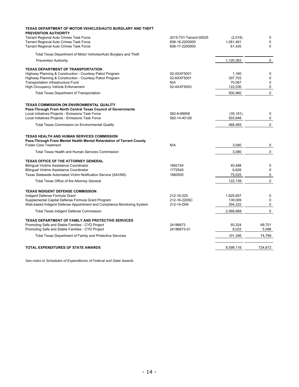| TEXAS DEPARTMENT OF MOTOR VEHICLES/AUTO BURGLARY AND THEFT                                                                                                |                        |           |             |
|-----------------------------------------------------------------------------------------------------------------------------------------------------------|------------------------|-----------|-------------|
| <b>PREVENTION AUTHORITY</b><br><b>Tarrant Regional Auto Crimes Task Force</b>                                                                             | 2015-T01-Tarrant-00025 | (2,518)   | 0           |
| <b>Tarrant Regional Auto Crimes Task Force</b>                                                                                                            | 608-16-2200000         | 1,061,461 | 0           |
| Tarrant Regional Auto Crimes Task Force                                                                                                                   | 608-17-2200000         | 61,420    | $\Omega$    |
| Total Texas Department of Motor Vehicles/Auto Burglary and Theft                                                                                          |                        |           |             |
| <b>Prevention Authority</b>                                                                                                                               |                        | 1,120,363 | 0           |
| <b>TEXAS DEPARTMENT OF TRANSPORTATION</b>                                                                                                                 |                        |           |             |
| Highway Planning & Construction - Courtesy Patrol Program                                                                                                 | 02-4XXF5001            | 1,160     | 0           |
| Highway Planning & Construction - Courtesy Patrol Program                                                                                                 | 02-6XXF5001            | 307,703   | $\mathbf 0$ |
| Transportation Infrastructure Fund                                                                                                                        | N/A                    | 70,067    | $\mathbf 0$ |
| High Occupancy Vehicle Enforcement                                                                                                                        | 02-4XXF5003            | 122,030   | $\mathbf 0$ |
| <b>Total Texas Department of Transportation</b>                                                                                                           |                        | 500,960   | $\Omega$    |
| <b>TEXAS COMMISSION ON ENVIRONMENTAL QUALITY</b>                                                                                                          |                        |           |             |
| Pass-Through From North Central Texas Council of Governments                                                                                              |                        |           |             |
| Local Initiatives Projects - Emissions Task Force                                                                                                         | 582-8-89958            | (35, 181) | $\mathbf 0$ |
| Local Initiatives Projects - Emissions Task Force                                                                                                         | 582-14-40126           | 503,646   | 0           |
| <b>Total Texas Commission on Environmental Quality</b>                                                                                                    |                        | 468,465   | $\mathbf 0$ |
| <b>TEXAS HEALTH AND HUMAN SERVICES COMMISSION</b><br>Pass-Through From Mental Health Mental Retardation of Tarrant County<br><b>Foster Care Treatment</b> | N/A                    | 3,080     | 0           |
|                                                                                                                                                           |                        |           |             |
| Total Texas Health and Human Services Commission                                                                                                          |                        | 3,080     | 0           |
| <b>TEXAS OFFICE OF THE ATTORNEY GENERAL</b>                                                                                                               |                        |           |             |
| <b>Bilingual Victims Assistance Coordinator</b>                                                                                                           | 1662154                | 40,488    | $\mathbf 0$ |
| <b>Bilingual Victims Assistance Coordinator</b>                                                                                                           | 1772540                | 6,626     | $\mathbf 0$ |
| Texas Statewide Automated Victim Notification Service (SAVNS)                                                                                             | 1660505                | 75,025    | 0           |
| Total Texas Office of the Attorney General                                                                                                                |                        | 122,139   | 0           |
| <b>TEXAS INDIGENT DEFENSE COMMISSION</b>                                                                                                                  |                        |           |             |
| Indigent Defense Formula Grant                                                                                                                            | 212-16-220             | 1,625,657 | $\mathbf 0$ |
| Supplemental Capital Defense Formula Grant Program                                                                                                        | 212-16-220SC           | 139,009   | $\mathbf 0$ |
| Web-based Indigent Defense Appointment and Compliance Monitoring System                                                                                   | 212-14-D09             | 304,222   | $\mathbf 0$ |
| <b>Total Texas Indigent Defense Commission</b>                                                                                                            |                        | 2,068,888 | $\mathbf 0$ |
| <b>TEXAS DEPARTMENT OF FAMILY AND PROTECTIVE SERVICES</b>                                                                                                 |                        |           |             |
| Promoting Safe and Stable Families - CYD Project                                                                                                          | 24186673               | 93.324    | 69.701      |
| Promoting Safe and Stable Families - CYD Project                                                                                                          | 24186673-01            | 8,022     | 5,098       |
| Total Texas Department of Family and Protective Services                                                                                                  |                        | 101,346   | 74,799      |
| <b>TOTAL EXPENDITURES OF STATE AWARDS</b>                                                                                                                 |                        | 8,599,116 | 724,672     |
|                                                                                                                                                           |                        |           |             |

*See notes to Schedules of Expenditures of Federal and State Awards*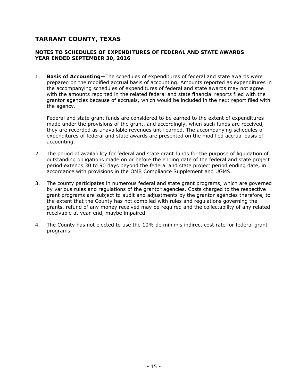.

#### **NOTES TO SCHEDULES OF EXPENDITURES OF FEDERAL AND STATE AWARDS YEAR ENDED SEPTEMBER 30, 2016**

1. **Basis of Accounting**—The schedules of expenditures of federal and state awards were prepared on the modified accrual basis of accounting. Amounts reported as expenditures in the accompanying schedules of expenditures of federal and state awards may not agree with the amounts reported in the related federal and state financial reports filed with the grantor agencies because of accruals, which would be included in the next report filed with the agency.

Federal and state grant funds are considered to be earned to the extent of expenditures made under the provisions of the grant, and accordingly, when such funds are received, they are recorded as unavailable revenues until earned. The accompanying schedules of expenditures of federal and state awards are presented on the modified accrual basis of accounting.

- 2. The period of availability for federal and state grant funds for the purpose of liquidation of outstanding obligations made on or before the ending date of the federal and state project period extends 30 to 90 days beyond the federal and state project period ending date, in accordance with provisions in the *OMB Compliance Supplement* and *UGMS*.
- 3. The county participates in numerous federal and state grant programs, which are governed by various rules and regulations of the grantor agencies. Costs charged to the respective grant programs are subject to audit and adjustments by the grantor agencies therefore, to the extent that the County has not complied with rules and regulations governing the grants, refund of any money received may be required and the collectability of any related receivable at year-end, maybe impaired.
- 4. The County has not elected to use the 10% de minimis indirect cost rate for federal grant programs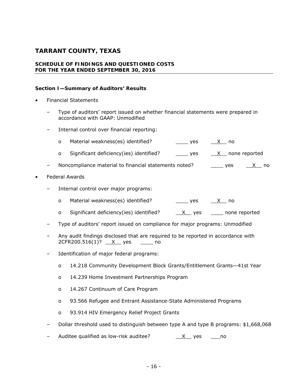#### **SCHEDULE OF FINDINGS AND QUESTIONED COSTS FOR THE YEAR ENDED SEPTEMBER 30, 2016**

#### **Section I—Summary of Auditors' Results**

- Financial Statements
	- Type of auditors' report issued on whether financial statements were prepared in accordance with GAAP: Unmodified
	- Internal control over financial reporting:
		- o Material weakness(es) identified?  $\qquad \qquad \qquad$  yes  $\qquad \qquad \times$  no
		- o Significant deficiency(ies) identified?  $\frac{\ }{\ }$  yes  $\frac{X}{X}$  none reported
	- Noncompliance material to financial statements noted?  $\qquad \qquad \qquad$  yes  $\qquad \underline{X}$  no
- Federal Awards
	- Internal control over major programs:
		- o Material weakness(es) identified? \_\_\_\_\_ yes  $\frac{X}{X}$  no
		- o Significant deficiency(ies) identified?  $X$  yes \_\_\_\_ none reported
	- Type of auditors' report issued on compliance for major programs: Unmodified
	- Any audit findings disclosed that are required to be reported in accordance with 2CFR200.516(1)? X yes \_\_\_\_ no
	- Identification of major federal programs:
		- o 14.218 Community Development Block Grants/Entitlement Grants—41st Year
		- o 14.239 Home Investment Partnerships Program
		- o 14.267 Continuum of Care Program
		- o 93.566 Refugee and Entrant Assistance-State Administered Programs
		- o 93.914 HIV Emergency Relief Project Grants
	- Dollar threshold used to distinguish between type A and type B programs: \$1,668,068
	- Auditee qualified as low-risk auditee? \_\_X\_\_ yes \_\_\_no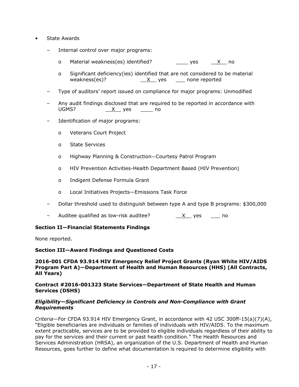- State Awards
	- Internal control over major programs:
		- o Material weakness(es) identified?  $\qquad \qquad \qquad \qquad$  yes  $\qquad \times \qquad$  no
		- o Significant deficiency(ies) identified that are not considered to be material weakness(es)?  $\underline{X}$  yes \_\_\_ none reported
	- Type of auditors' report issued on compliance for major programs: Unmodified
	- Any audit findings disclosed that are required to be reported in accordance with UGMS?  $X$  yes \_\_\_\_ no
	- Identification of major programs:
		- o Veterans Court Project
		- o State Services
		- o Highway Planning & Construction—Courtesy Patrol Program
		- o HIV Prevention Activities-Health Department Based (HIV Prevention)
		- o Indigent Defense Formula Grant
		- o Local Initiatives Projects—Emissions Task Force
	- Dollar threshold used to distinguish between type A and type B programs: \$300,000
	- Auditee qualified as low-risk auditee?  $\underline{\hspace{1cm}}\underline{\hspace{1cm}}\underline{\hspace{1cm}}\underline{\hspace{1cm}}$  yes  $\underline{\hspace{1cm}}$  no

#### **Section II—Financial Statements Findings**

None reported.

#### **Section III—Award Findings and Questioned Costs**

#### **2016-001 CFDA 93.914 HIV Emergency Relief Project Grants (Ryan White HIV/AIDS Program Part A)—Department of Health and Human Resources (HHS) (All Contracts, All Years)**

#### **Contract #2016-001323 State Services—Department of State Health and Human Services (DSHS)**

#### *Eligibility—Significant Deficiency in Controls and Non-Compliance with Grant Requirements*

*Criteria*—For CFDA 93.914 HIV Emergency Grant, in accordance with 42 USC 300ff-15(a)(7)(A), "Eligible beneficiaries are individuals or families of individuals with HIV/AIDS. To the maximum extent practicable, services are to be provided to eligible individuals regardless of their ability to pay for the services and their current or past health condition." The Health Resources and Services Administration (HRSA), an organization of the U.S. Department of Health and Human Resources, goes further to define what documentation is required to determine eligibility with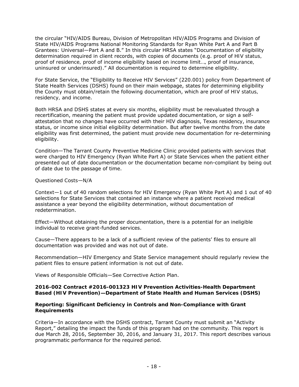the circular "HIV/AIDS Bureau, Division of Metropolitan HIV/AIDS Programs and Division of State HIV/AIDS Programs National Monitoring Standards for Ryan White Part A and Part B Grantees: Universal—Part A and B." In this circular HRSA states "Documentation of eligibility determination required in client records, with copies of documents (e.g. *proof of HIV status, proof of residence, proof of income eligibility based on income limit…, proof of insurance, uninsured or underinsured)*." All documentation is required to determine eligibility.

For State Service, the "Eligibility to Receive HIV Services" (220.001) policy from Department of State Health Services (DSHS) found on their main webpage, states for determining eligibility the County must obtain/retain the following documentation, which are *proof of HIV status, residency, and income*.

Both HRSA and DSHS states at every six months, eligibility must be reevaluated through a recertification, meaning the patient must provide updated documentation, or sign a selfattestation that no changes have occurred with their HIV diagnosis, Texas residency, insurance status, or income since initial eligibility determination. But after twelve months from the date eligibility was first determined, the patient must provide new documentation for re-determining eligibility.

*Condition*—The Tarrant County Preventive Medicine Clinic provided patients with services that were charged to HIV Emergency (Ryan White Part A) or State Services when the patient either presented out of date documentation or the documentation became non-compliant by being out of date due to the passage of time.

#### *Questioned Costs*—N/A

*Context*—1 out of 40 random selections for HIV Emergency (Ryan White Part A) and 1 out of 40 selections for State Services that contained an instance where a patient received medical assistance a year beyond the eligibility determination, without documentation of redetermination.

*Effect*—Without obtaining the proper documentation, there is a potential for an ineligible individual to receive grant-funded services.

*Cause*—There appears to be a lack of a sufficient review of the patients' files to ensure all documentation was provided and was not out of date.

*Recommendation*—HIV Emergency and State Service management should regularly review the patient files to ensure patient information is not out of date.

*Views of Responsible Officials*—See Corrective Action Plan.

#### **2016-002 Contract #2016-001323 HIV Prevention Activities-Health Department Based (HIV Prevention)—Department of State Health and Human Services (DSHS)**

#### *Reporting: Significant Deficiency in Controls and Non-Compliance with Grant Requirements*

*Criteria*—In accordance with the DSHS contract, Tarrant County must submit an "Activity Report," detailing the impact the funds of this program had on the community. This report is due March 28, 2016, September 30, 2016, and January 31, 2017. This report describes various programmatic performance for the required period.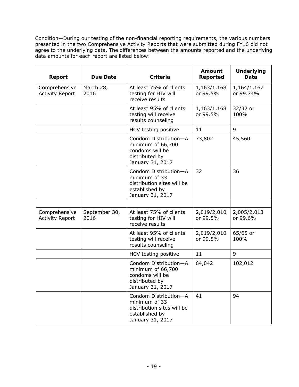*Condition*—During our testing of the non-financial reporting requirements, the various numbers presented in the two Comprehensive Activity Reports that were submitted during FY16 did not agree to the underlying data. The differences between the amounts reported and the underlying data amounts for each report are listed below:

| Report                                  | Due Date              | Criteria                                                                                                   | Amount<br>Reported      | Underlying<br>Data       |
|-----------------------------------------|-----------------------|------------------------------------------------------------------------------------------------------------|-------------------------|--------------------------|
| Comprehensive<br><b>Activity Report</b> | March 28,<br>2016     | At least 75% of clients<br>testing for HIV will<br>receive results                                         | 1,163/1,168<br>or 99.5% | 1,164/1,167<br>or 99.74% |
|                                         |                       | At least 95% of clients<br>testing will receive<br>results counseling                                      | 1,163/1,168<br>or 99.5% | 32/32 or<br>100%         |
|                                         |                       | HCV testing positive                                                                                       | 11                      | 9                        |
|                                         |                       | Condom Distribution-A<br>minimum of 66,700<br>condoms will be<br>distributed by<br>January 31, 2017        | 73,802                  | 45,560                   |
|                                         |                       | Condom Distribution-A<br>minimum of 33<br>distribution sites will be<br>established by<br>January 31, 2017 | 32                      | 36                       |
|                                         |                       |                                                                                                            |                         |                          |
| Comprehensive<br><b>Activity Report</b> | September 30,<br>2016 | At least 75% of clients<br>testing for HIV will<br>receive results                                         | 2,019/2,010<br>or 99.5% | 2,005/2,013<br>or 99.6%  |
|                                         |                       | At least 95% of clients<br>testing will receive<br>results counseling                                      | 2,019/2,010<br>or 99.5% | 65/65 or<br>100%         |
|                                         |                       | HCV testing positive                                                                                       | 11                      | 9                        |
|                                         |                       | Condom Distribution-A<br>minimum of 66,700<br>condoms will be<br>distributed by<br>January 31, 2017        | 64,042                  | 102,012                  |
|                                         |                       | Condom Distribution-A<br>minimum of 33<br>distribution sites will be<br>established by<br>January 31, 2017 | 41                      | 94                       |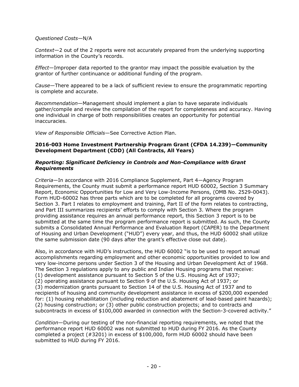#### *Questioned Costs*—N/A

*Context*—2 out of the 2 reports were not accurately prepared from the underlying supporting information in the County's records.

*Effect*—Improper data reported to the grantor may impact the possible evaluation by the grantor of further continuance or additional funding of the program.

*Cause*—There appeared to be a lack of sufficient review to ensure the programmatic reporting is complete and accurate.

*Recommendation*—Management should implement a plan to have separate individuals gather/compile and review the compilation of the report for completeness and accuracy. Having one individual in charge of both responsibilities creates an opportunity for potential inaccuracies.

*View of Responsible Officials*—See Corrective Action Plan.

#### **2016-003 Home Investment Partnership Program Grant (CFDA 14.239)—Community Development Department (CDD) (All Contracts, All Years)**

#### *Reporting: Significant Deficiency in Controls and Non-Compliance with Grant Requirements*

*Criteria*—In accordance with 2016 Compliance Supplement, Part 4—Agency Program Requirements, the County must submit a performance report HUD 60002, Section 3 Summary Report, Economic Opportunities for Low and Very Low-Income Persons, (OMB No. 2529-0043). Form HUD-60002 has three parts which are to be completed for all programs covered by Section 3. Part I relates to employment and training, Part II of the form relates to contracting, and Part III summarizes recipients' efforts to comply with Section 3. Where the program providing assistance requires an annual performance report, this Section 3 report is to be submitted at the same time the program performance report is submitted. As such, the County submits a Consolidated Annual Performance and Evaluation Report (CAPER) to the Department of Housing and Urban Development ("HUD") every year, and thus, the HUD 60002 shall utilize the same submission date (90 days after the grant's effective close out date).

Also, in accordance with HUD's instructions, the HUD 60002 "is to be used to report annual accomplishments regarding employment and other economic opportunities provided to low and very low-income persons under Section 3 of the Housing and Urban Development Act of 1968. The Section 3 regulations apply to any public and Indian Housing programs that receive: (1) development assistance pursuant to Section 5 of the U.S. Housing Act of 1937; (2) operating assistance pursuant to Section 9 of the U.S. Housing Act of 1937; or (3) modernization grants pursuant to Section 14 of the U.S. Housing Act of 1937 and to recipients of housing and community development assistance in excess of \$200,000 expended for: (1) housing rehabilitation (including reduction and abatement of lead-based paint hazards); (2) housing construction; or (3) other public construction projects; and to contracts and subcontracts in excess of \$100,000 awarded in connection with the Section-3-covered activity."

*Condition*—During our testing of the non-financial reporting requirements, we noted that the performance report HUD 60002 was not submitted to HUD during FY 2016. As the County completed a project (#3201) in excess of \$100,000, form HUD 60002 should have been submitted to HUD during FY 2016.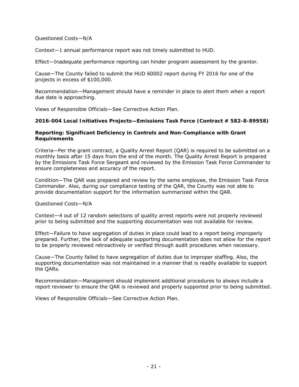#### *Questioned Costs*—N/A

*Context*—1 annual performance report was not timely submitted to HUD.

*Effect*—Inadequate performance reporting can hinder program assessment by the grantor.

*Cause*—The County failed to submit the HUD 60002 report during FY 2016 for one of the projects in excess of \$100,000.

*Recommendation*—Management should have a reminder in place to alert them when a report due date is approaching.

*Views of Responsible Officials*—See Corrective Action Plan.

#### **2016-004 Local Initiatives Projects—Emissions Task Force (Contract # 582-8-89958)**

#### *Reporting: Significant Deficiency in Controls and Non-Compliance with Grant Requirements*

*Criteria*—Per the grant contract, a Quality Arrest Report (QAR) is required to be submitted on a monthly basis after 15 days from the end of the month. The Quality Arrest Report is prepared by the Emissions Task Force Sergeant and reviewed by the Emission Task Force Commander to ensure completeness and accuracy of the report.

*Condition*—The QAR was prepared and review by the same employee, the Emission Task Force Commander. Also, during our compliance testing of the QAR, the County was not able to provide documentation support for the information summarized within the QAR.

#### *Questioned Costs*—N/A

*Context*—4 out of 12 random selections of quality arrest reports were not properly reviewed prior to being submitted and the supporting documentation was not available for review.

*Effect*—Failure to have segregation of duties in place could lead to a report being improperly prepared. Further, the lack of adequate supporting documentation does not allow for the report to be properly reviewed retroactively or verified through audit procedures when necessary.

*Cause*—The County failed to have segregation of duties due to improper staffing. Also, the supporting documentation was not maintained in a manner that is readily available to support the QARs.

*Recommendation*—Management should implement additional procedures to always include a report reviewer to ensure the QAR is reviewed and properly supported prior to being submitted.

*Views of Responsible Officials*—See Corrective Action Plan.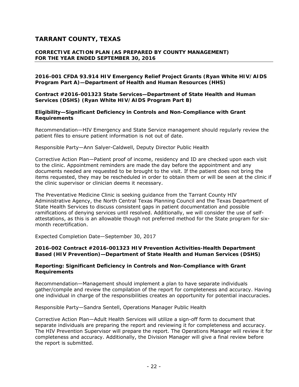#### **CORRECTIVE ACTION PLAN (AS PREPARED BY COUNTY MANAGEMENT) FOR THE YEAR ENDED SEPTEMBER 30, 2016**

#### **2016-001 CFDA 93.914 HIV Emergency Relief Project Grants (Ryan White HIV/AIDS Program Part A)—Department of Health and Human Resources (HHS)**

**Contract #2016-001323 State Services—Department of State Health and Human Services (DSHS) (Ryan White HIV/AIDS Program Part B)** 

*Eligibility—Significant Deficiency in Controls and Non-Compliance with Grant Requirements* 

*Recommendation*—HIV Emergency and State Service management should regularly review the patient files to ensure patient information is not out of date.

*Responsible Party*—Ann Salyer-Caldwell, Deputy Director Public Health

*Corrective Action Plan*—Patient proof of income, residency and ID are checked upon each visit to the clinic. Appointment reminders are made the day before the appointment and any documents needed are requested to be brought to the visit. If the patient does not bring the items requested, they may be rescheduled in order to obtain them or will be seen at the clinic if the clinic supervisor or clinician deems it necessary.

The Preventative Medicine Clinic is seeking guidance from the Tarrant County HIV Administrative Agency, the North Central Texas Planning Council and the Texas Department of State Health Services to discuss consistent gaps in patient documentation and possible ramifications of denying services until resolved. Additionally, we will consider the use of selfattestations, as this is an allowable though not preferred method for the State program for sixmonth recertification.

*Expected Completion Date*—September 30, 2017

#### **2016-002 Contract #2016-001323 HIV Prevention Activities-Health Department Based (HIV Prevention)—Department of State Health and Human Services (DSHS)**

#### *Reporting: Significant Deficiency in Controls and Non-Compliance with Grant Requirements*

*Recommendation*—Management should implement a plan to have separate individuals gather/compile and review the compilation of the report for completeness and accuracy. Having one individual in charge of the responsibilities creates an opportunity for potential inaccuracies.

*Responsible Party*—Sandra Sentell, Operations Manager Public Health

*Corrective Action Plan*—Adult Health Services will utilize a sign-off form to document that separate individuals are preparing the report and reviewing it for completeness and accuracy. The HIV Prevention Supervisor will prepare the report. The Operations Manager will review it for completeness and accuracy. Additionally, the Division Manager will give a final review before the report is submitted.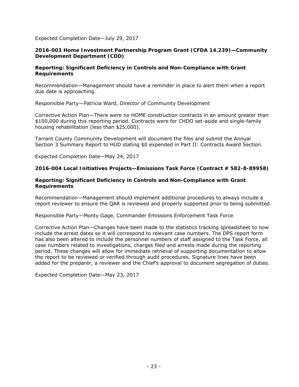#### *Expected Completion Date*—July 29, 2017

#### **2016-003 Home Investment Partnership Program Grant (CFDA 14.239)—Community Development Department (CDD)**

#### *Reporting: Significant Deficiency in Controls and Non-Compliance with Grant Requirements*

*Recommendation*—Management should have a reminder in place to alert them when a report due date is approaching.

*Responsible Party*—Patricia Ward, Director of Community Development

*Corrective Action Plan*—There were no HOME construction contracts in an amount greater than \$100,000 during this reporting period. Contracts were for CHDO set-aside and single-family housing rehabilitation (less than \$25,000).

Tarrant County Community Development will document the files and submit the Annual Section 3 Summary Report to HUD stating \$0 expended in Part II: Contracts Award Section.

*Expected Completion Date*—May 24, 2017

**2016-004 Local Initiatives Projects—Emissions Task Force (Contract # 582-8-89958)** 

#### *Reporting: Significant Deficiency in Controls and Non-Compliance with Grant Requirements*

*Recommendation*—Management should implement additional procedures to always include a report reviewer to ensure the QAR is reviewed and properly supported prior to being submitted.

#### *Responsible Party*—Monty Gage, Commander Emissions Enforcement Task Force

*Corrective Action Plan*—Changes have been made to the statistics tracking spreadsheet to now include the arrest dates so it will correspond to relevant case numbers. The DPS report form has also been altered to include the personnel numbers of staff assigned to the Task Force, all case numbers related to investigations, charges filed and arrests made during the reporting period. These changes will allow for immediate retrieval of supporting documentation to allow the report to be reviewed or verified through audit procedures. Signature lines have been added for the preparer, a reviewer and the Chief's approval to document segregation of duties.

Expected Completion Date—May 23, 2017